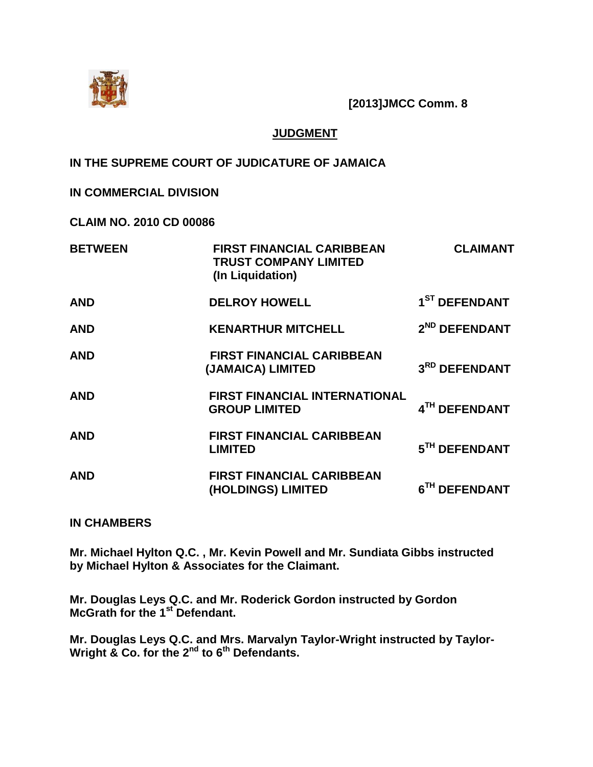

**[2013]JMCC Comm. 8**

# **JUDGMENT**

# **IN THE SUPREME COURT OF JUDICATURE OF JAMAICA**

# **IN COMMERCIAL DIVISION**

**CLAIM NO. 2010 CD 00086**

| <b>BETWEEN</b> | <b>FIRST FINANCIAL CARIBBEAN</b><br><b>TRUST COMPANY LIMITED</b><br>(In Liquidation) | <b>CLAIMANT</b>           |
|----------------|--------------------------------------------------------------------------------------|---------------------------|
| <b>AND</b>     | <b>DELROY HOWELL</b>                                                                 | 1 <sup>ST</sup> DEFENDANT |
| <b>AND</b>     | <b>KENARTHUR MITCHELL</b>                                                            | 2 <sup>ND</sup> DEFENDANT |
| <b>AND</b>     | <b>FIRST FINANCIAL CARIBBEAN</b><br>(JAMAICA) LIMITED                                | 3RD DEFENDANT             |
| <b>AND</b>     | <b>FIRST FINANCIAL INTERNATIONAL</b><br><b>GROUP LIMITED</b>                         | 4TH DEFENDANT             |
| <b>AND</b>     | <b>FIRST FINANCIAL CARIBBEAN</b><br><b>LIMITED</b>                                   | 5TH DEFENDANT             |
| <b>AND</b>     | <b>FIRST FINANCIAL CARIBBEAN</b><br>(HOLDINGS) LIMITED                               | 6TH DEFENDANT             |

#### **IN CHAMBERS**

**Mr. Michael Hylton Q.C. , Mr. Kevin Powell and Mr. Sundiata Gibbs instructed by Michael Hylton & Associates for the Claimant.**

**Mr. Douglas Leys Q.C. and Mr. Roderick Gordon instructed by Gordon McGrath for the 1st Defendant.**

**Mr. Douglas Leys Q.C. and Mrs. Marvalyn Taylor-Wright instructed by Taylor-Wright & Co. for the 2nd to 6th Defendants.**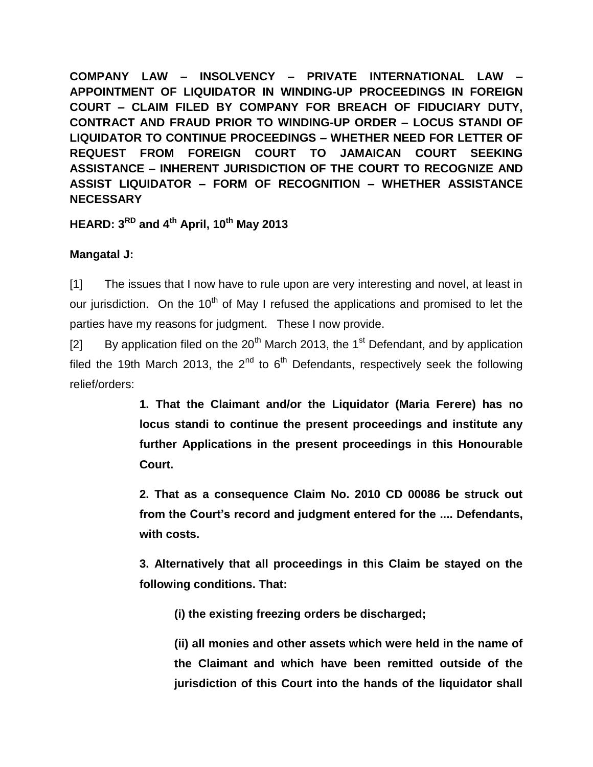**COMPANY LAW – INSOLVENCY – PRIVATE INTERNATIONAL LAW – APPOINTMENT OF LIQUIDATOR IN WINDING-UP PROCEEDINGS IN FOREIGN COURT – CLAIM FILED BY COMPANY FOR BREACH OF FIDUCIARY DUTY, CONTRACT AND FRAUD PRIOR TO WINDING-UP ORDER – LOCUS STANDI OF LIQUIDATOR TO CONTINUE PROCEEDINGS – WHETHER NEED FOR LETTER OF REQUEST FROM FOREIGN COURT TO JAMAICAN COURT SEEKING ASSISTANCE – INHERENT JURISDICTION OF THE COURT TO RECOGNIZE AND ASSIST LIQUIDATOR – FORM OF RECOGNITION – WHETHER ASSISTANCE NECESSARY**

**HEARD: 3RD and 4th April, 10th May 2013**

# **Mangatal J:**

[1] The issues that I now have to rule upon are very interesting and novel, at least in our jurisdiction. On the  $10<sup>th</sup>$  of May I refused the applications and promised to let the parties have my reasons for judgment. These I now provide.

[2] By application filed on the  $20^{th}$  March 2013, the 1<sup>st</sup> Defendant, and by application filed the 19th March 2013, the  $2^{nd}$  to  $6^{th}$  Defendants, respectively seek the following relief/orders:

> **1. That the Claimant and/or the Liquidator (Maria Ferere) has no locus standi to continue the present proceedings and institute any further Applications in the present proceedings in this Honourable Court.**

> **2. That as a consequence Claim No. 2010 CD 00086 be struck out from the Court's record and judgment entered for the .... Defendants, with costs.**

> **3. Alternatively that all proceedings in this Claim be stayed on the following conditions. That:**

**(i) the existing freezing orders be discharged;**

**(ii) all monies and other assets which were held in the name of the Claimant and which have been remitted outside of the jurisdiction of this Court into the hands of the liquidator shall**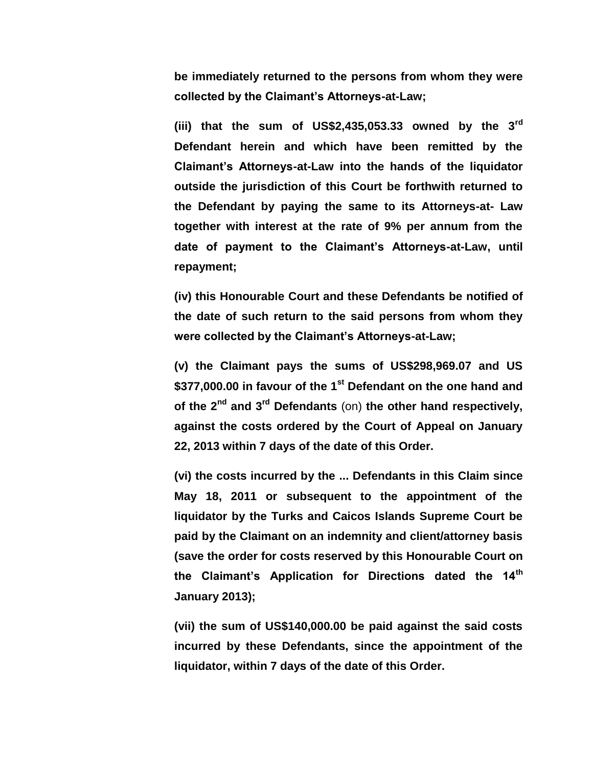**be immediately returned to the persons from whom they were collected by the Claimant's Attorneys-at-Law;**

**(iii) that the sum of US\$2,435,053.33 owned by the 3rd Defendant herein and which have been remitted by the Claimant's Attorneys-at-Law into the hands of the liquidator outside the jurisdiction of this Court be forthwith returned to the Defendant by paying the same to its Attorneys-at- Law together with interest at the rate of 9% per annum from the date of payment to the Claimant's Attorneys-at-Law, until repayment;**

**(iv) this Honourable Court and these Defendants be notified of the date of such return to the said persons from whom they were collected by the Claimant's Attorneys-at-Law;**

**(v) the Claimant pays the sums of US\$298,969.07 and US \$377,000.00 in favour of the 1st Defendant on the one hand and of the 2nd and 3rd Defendants** (on) **the other hand respectively, against the costs ordered by the Court of Appeal on January 22, 2013 within 7 days of the date of this Order.** 

**(vi) the costs incurred by the ... Defendants in this Claim since May 18, 2011 or subsequent to the appointment of the liquidator by the Turks and Caicos Islands Supreme Court be paid by the Claimant on an indemnity and client/attorney basis (save the order for costs reserved by this Honourable Court on the Claimant's Application for Directions dated the 14th January 2013);**

**(vii) the sum of US\$140,000.00 be paid against the said costs incurred by these Defendants, since the appointment of the liquidator, within 7 days of the date of this Order.**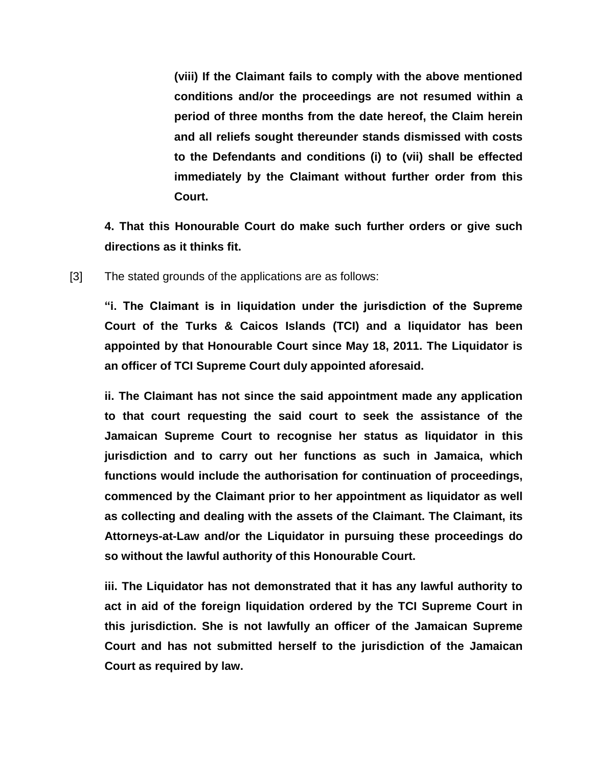**(viii) If the Claimant fails to comply with the above mentioned conditions and/or the proceedings are not resumed within a period of three months from the date hereof, the Claim herein and all reliefs sought thereunder stands dismissed with costs to the Defendants and conditions (i) to (vii) shall be effected immediately by the Claimant without further order from this Court.**

**4. That this Honourable Court do make such further orders or give such directions as it thinks fit.**

[3] The stated grounds of the applications are as follows:

**"i. The Claimant is in liquidation under the jurisdiction of the Supreme Court of the Turks & Caicos Islands (TCI) and a liquidator has been appointed by that Honourable Court since May 18, 2011. The Liquidator is an officer of TCI Supreme Court duly appointed aforesaid.**

**ii. The Claimant has not since the said appointment made any application to that court requesting the said court to seek the assistance of the Jamaican Supreme Court to recognise her status as liquidator in this jurisdiction and to carry out her functions as such in Jamaica, which functions would include the authorisation for continuation of proceedings, commenced by the Claimant prior to her appointment as liquidator as well as collecting and dealing with the assets of the Claimant. The Claimant, its Attorneys-at-Law and/or the Liquidator in pursuing these proceedings do so without the lawful authority of this Honourable Court.**

**iii. The Liquidator has not demonstrated that it has any lawful authority to act in aid of the foreign liquidation ordered by the TCI Supreme Court in this jurisdiction. She is not lawfully an officer of the Jamaican Supreme Court and has not submitted herself to the jurisdiction of the Jamaican Court as required by law.**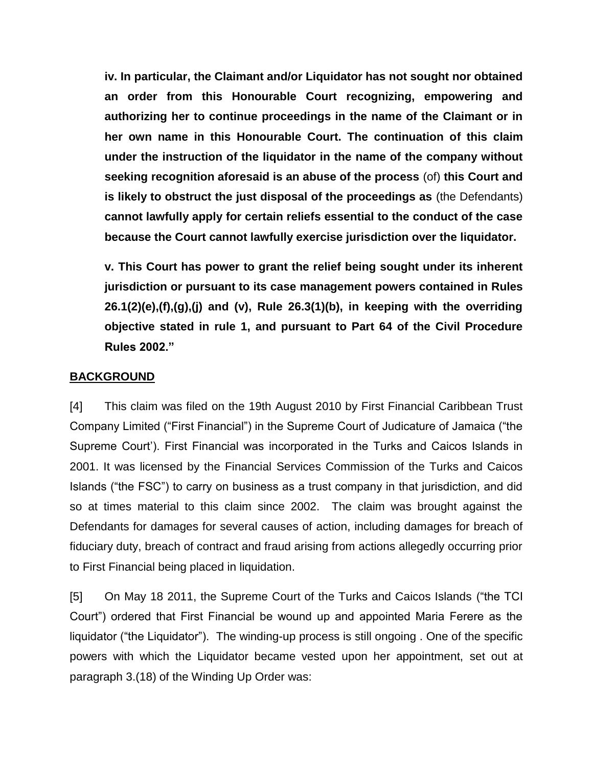**iv. In particular, the Claimant and/or Liquidator has not sought nor obtained an order from this Honourable Court recognizing, empowering and authorizing her to continue proceedings in the name of the Claimant or in her own name in this Honourable Court. The continuation of this claim under the instruction of the liquidator in the name of the company without seeking recognition aforesaid is an abuse of the process** (of) **this Court and is likely to obstruct the just disposal of the proceedings as** (the Defendants) **cannot lawfully apply for certain reliefs essential to the conduct of the case because the Court cannot lawfully exercise jurisdiction over the liquidator.**

**v. This Court has power to grant the relief being sought under its inherent jurisdiction or pursuant to its case management powers contained in Rules 26.1(2)(e),(f),(g),(j) and (v), Rule 26.3(1)(b), in keeping with the overriding objective stated in rule 1, and pursuant to Part 64 of the Civil Procedure Rules 2002."**

# **BACKGROUND**

[4] This claim was filed on the 19th August 2010 by First Financial Caribbean Trust Company Limited ("First Financial") in the Supreme Court of Judicature of Jamaica ("the Supreme Court'). First Financial was incorporated in the Turks and Caicos Islands in 2001. It was licensed by the Financial Services Commission of the Turks and Caicos Islands ("the FSC") to carry on business as a trust company in that jurisdiction, and did so at times material to this claim since 2002. The claim was brought against the Defendants for damages for several causes of action, including damages for breach of fiduciary duty, breach of contract and fraud arising from actions allegedly occurring prior to First Financial being placed in liquidation.

[5] On May 18 2011, the Supreme Court of the Turks and Caicos Islands ("the TCI Court") ordered that First Financial be wound up and appointed Maria Ferere as the liquidator ("the Liquidator"). The winding-up process is still ongoing . One of the specific powers with which the Liquidator became vested upon her appointment, set out at paragraph 3.(18) of the Winding Up Order was: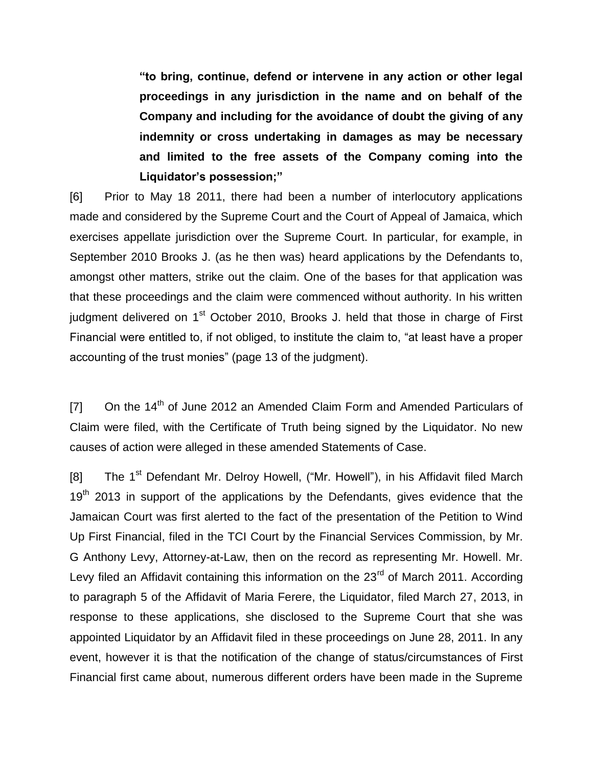**"to bring, continue, defend or intervene in any action or other legal proceedings in any jurisdiction in the name and on behalf of the Company and including for the avoidance of doubt the giving of any indemnity or cross undertaking in damages as may be necessary and limited to the free assets of the Company coming into the Liquidator's possession;"**

[6] Prior to May 18 2011, there had been a number of interlocutory applications made and considered by the Supreme Court and the Court of Appeal of Jamaica, which exercises appellate jurisdiction over the Supreme Court. In particular, for example, in September 2010 Brooks J. (as he then was) heard applications by the Defendants to, amongst other matters, strike out the claim. One of the bases for that application was that these proceedings and the claim were commenced without authority. In his written judgment delivered on 1<sup>st</sup> October 2010, Brooks J. held that those in charge of First Financial were entitled to, if not obliged, to institute the claim to, "at least have a proper accounting of the trust monies" (page 13 of the judgment).

 $[7]$  On the 14<sup>th</sup> of June 2012 an Amended Claim Form and Amended Particulars of Claim were filed, with the Certificate of Truth being signed by the Liquidator. No new causes of action were alleged in these amended Statements of Case.

[8] The 1<sup>st</sup> Defendant Mr. Delroy Howell, ("Mr. Howell"), in his Affidavit filed March 19<sup>th</sup> 2013 in support of the applications by the Defendants, gives evidence that the Jamaican Court was first alerted to the fact of the presentation of the Petition to Wind Up First Financial, filed in the TCI Court by the Financial Services Commission, by Mr. G Anthony Levy, Attorney-at-Law, then on the record as representing Mr. Howell. Mr. Levy filed an Affidavit containing this information on the 23<sup>rd</sup> of March 2011. According to paragraph 5 of the Affidavit of Maria Ferere, the Liquidator, filed March 27, 2013, in response to these applications, she disclosed to the Supreme Court that she was appointed Liquidator by an Affidavit filed in these proceedings on June 28, 2011. In any event, however it is that the notification of the change of status/circumstances of First Financial first came about, numerous different orders have been made in the Supreme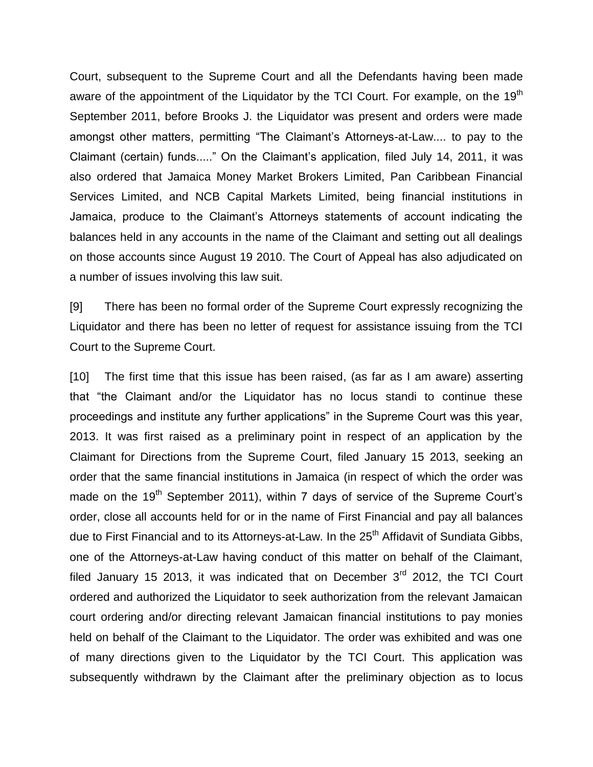Court, subsequent to the Supreme Court and all the Defendants having been made aware of the appointment of the Liquidator by the TCI Court. For example, on the 19<sup>th</sup> September 2011, before Brooks J. the Liquidator was present and orders were made amongst other matters, permitting "The Claimant's Attorneys-at-Law.... to pay to the Claimant (certain) funds....." On the Claimant's application, filed July 14, 2011, it was also ordered that Jamaica Money Market Brokers Limited, Pan Caribbean Financial Services Limited, and NCB Capital Markets Limited, being financial institutions in Jamaica, produce to the Claimant's Attorneys statements of account indicating the balances held in any accounts in the name of the Claimant and setting out all dealings on those accounts since August 19 2010. The Court of Appeal has also adjudicated on a number of issues involving this law suit.

[9] There has been no formal order of the Supreme Court expressly recognizing the Liquidator and there has been no letter of request for assistance issuing from the TCI Court to the Supreme Court.

[10] The first time that this issue has been raised, (as far as I am aware) asserting that "the Claimant and/or the Liquidator has no locus standi to continue these proceedings and institute any further applications" in the Supreme Court was this year, 2013. It was first raised as a preliminary point in respect of an application by the Claimant for Directions from the Supreme Court, filed January 15 2013, seeking an order that the same financial institutions in Jamaica (in respect of which the order was made on the 19<sup>th</sup> September 2011), within 7 days of service of the Supreme Court's order, close all accounts held for or in the name of First Financial and pay all balances due to First Financial and to its Attorneys-at-Law. In the 25<sup>th</sup> Affidavit of Sundiata Gibbs, one of the Attorneys-at-Law having conduct of this matter on behalf of the Claimant, filed January 15 2013, it was indicated that on December  $3<sup>rd</sup>$  2012, the TCI Court ordered and authorized the Liquidator to seek authorization from the relevant Jamaican court ordering and/or directing relevant Jamaican financial institutions to pay monies held on behalf of the Claimant to the Liquidator. The order was exhibited and was one of many directions given to the Liquidator by the TCI Court. This application was subsequently withdrawn by the Claimant after the preliminary objection as to locus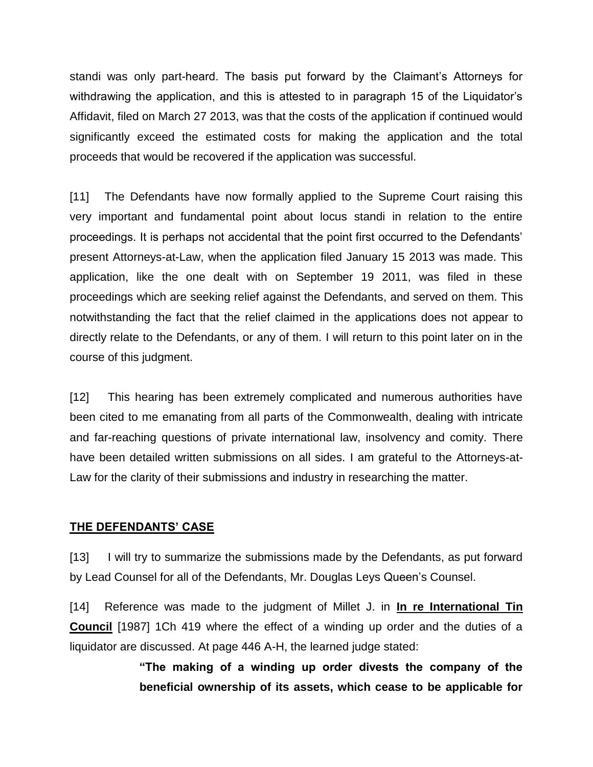standi was only part-heard. The basis put forward by the Claimant's Attorneys for withdrawing the application, and this is attested to in paragraph 15 of the Liquidator's Affidavit, filed on March 27 2013, was that the costs of the application if continued would significantly exceed the estimated costs for making the application and the total proceeds that would be recovered if the application was successful.

[11] The Defendants have now formally applied to the Supreme Court raising this very important and fundamental point about locus standi in relation to the entire proceedings. It is perhaps not accidental that the point first occurred to the Defendants' present Attorneys-at-Law, when the application filed January 15 2013 was made. This application, like the one dealt with on September 19 2011, was filed in these proceedings which are seeking relief against the Defendants, and served on them. This notwithstanding the fact that the relief claimed in the applications does not appear to directly relate to the Defendants, or any of them. I will return to this point later on in the course of this judgment.

[12] This hearing has been extremely complicated and numerous authorities have been cited to me emanating from all parts of the Commonwealth, dealing with intricate and far-reaching questions of private international law, insolvency and comity. There have been detailed written submissions on all sides. I am grateful to the Attorneys-at-Law for the clarity of their submissions and industry in researching the matter.

#### **THE DEFENDANTS' CASE**

[13] I will try to summarize the submissions made by the Defendants, as put forward by Lead Counsel for all of the Defendants, Mr. Douglas Leys Queen's Counsel.

[14] Reference was made to the judgment of Millet J. in **In re International Tin Council** [1987] 1Ch 419 where the effect of a winding up order and the duties of a liquidator are discussed. At page 446 A-H, the learned judge stated:

> **"The making of a winding up order divests the company of the beneficial ownership of its assets, which cease to be applicable for**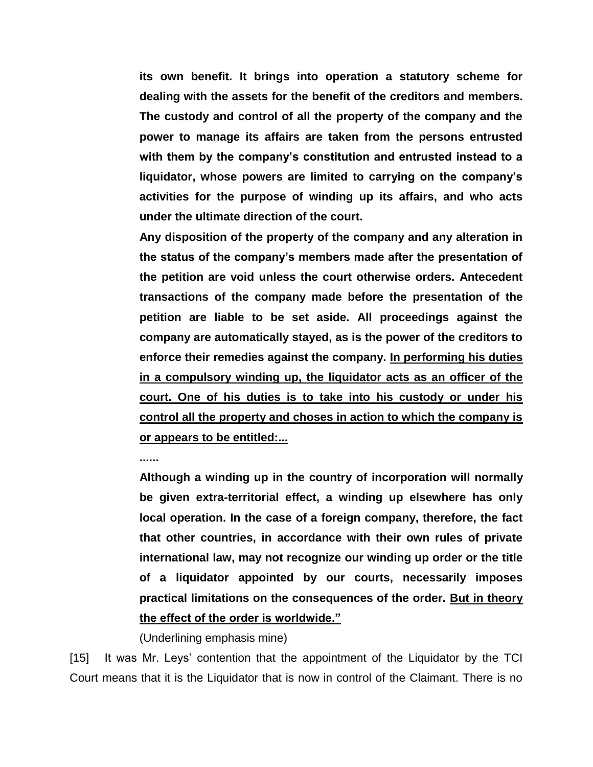**its own benefit. It brings into operation a statutory scheme for dealing with the assets for the benefit of the creditors and members. The custody and control of all the property of the company and the power to manage its affairs are taken from the persons entrusted with them by the company's constitution and entrusted instead to a liquidator, whose powers are limited to carrying on the company's activities for the purpose of winding up its affairs, and who acts under the ultimate direction of the court.**

**Any disposition of the property of the company and any alteration in the status of the company's members made after the presentation of the petition are void unless the court otherwise orders. Antecedent transactions of the company made before the presentation of the petition are liable to be set aside. All proceedings against the company are automatically stayed, as is the power of the creditors to enforce their remedies against the company. In performing his duties in a compulsory winding up, the liquidator acts as an officer of the court. One of his duties is to take into his custody or under his control all the property and choses in action to which the company is or appears to be entitled:...**

**......**

**Although a winding up in the country of incorporation will normally be given extra-territorial effect, a winding up elsewhere has only local operation. In the case of a foreign company, therefore, the fact that other countries, in accordance with their own rules of private international law, may not recognize our winding up order or the title of a liquidator appointed by our courts, necessarily imposes practical limitations on the consequences of the order. But in theory the effect of the order is worldwide."**

(Underlining emphasis mine)

[15] It was Mr. Leys' contention that the appointment of the Liquidator by the TCI Court means that it is the Liquidator that is now in control of the Claimant. There is no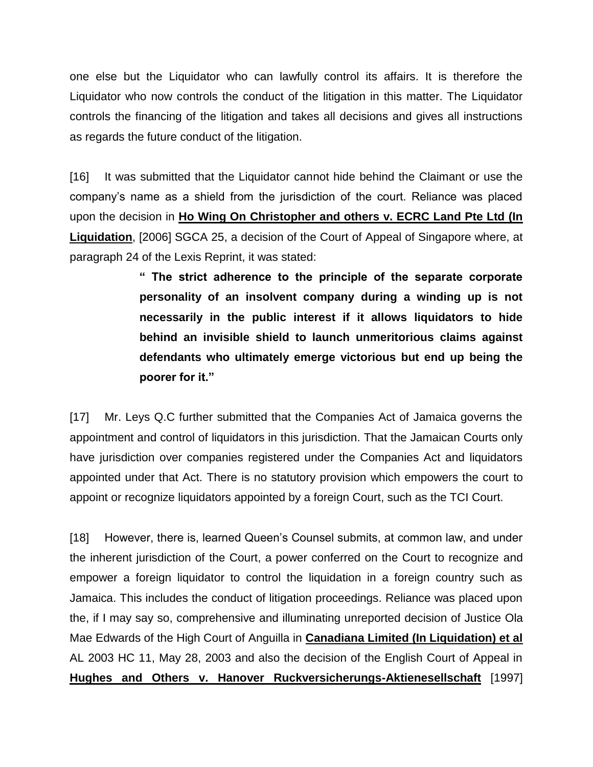one else but the Liquidator who can lawfully control its affairs. It is therefore the Liquidator who now controls the conduct of the litigation in this matter. The Liquidator controls the financing of the litigation and takes all decisions and gives all instructions as regards the future conduct of the litigation.

[16] It was submitted that the Liquidator cannot hide behind the Claimant or use the company's name as a shield from the jurisdiction of the court. Reliance was placed upon the decision in **Ho Wing On Christopher and others v. ECRC Land Pte Ltd (In Liquidation**, [2006] SGCA 25, a decision of the Court of Appeal of Singapore where, at paragraph 24 of the Lexis Reprint, it was stated:

> **" The strict adherence to the principle of the separate corporate personality of an insolvent company during a winding up is not necessarily in the public interest if it allows liquidators to hide behind an invisible shield to launch unmeritorious claims against defendants who ultimately emerge victorious but end up being the poorer for it."**

[17] Mr. Leys Q.C further submitted that the Companies Act of Jamaica governs the appointment and control of liquidators in this jurisdiction. That the Jamaican Courts only have jurisdiction over companies registered under the Companies Act and liquidators appointed under that Act. There is no statutory provision which empowers the court to appoint or recognize liquidators appointed by a foreign Court, such as the TCI Court.

[18] However, there is, learned Queen's Counsel submits, at common law, and under the inherent jurisdiction of the Court, a power conferred on the Court to recognize and empower a foreign liquidator to control the liquidation in a foreign country such as Jamaica. This includes the conduct of litigation proceedings. Reliance was placed upon the, if I may say so, comprehensive and illuminating unreported decision of Justice Ola Mae Edwards of the High Court of Anguilla in **Canadiana Limited (In Liquidation) et al** AL 2003 HC 11, May 28, 2003 and also the decision of the English Court of Appeal in **Hughes and Others v. Hanover Ruckversicherungs-Aktienesellschaft** [1997]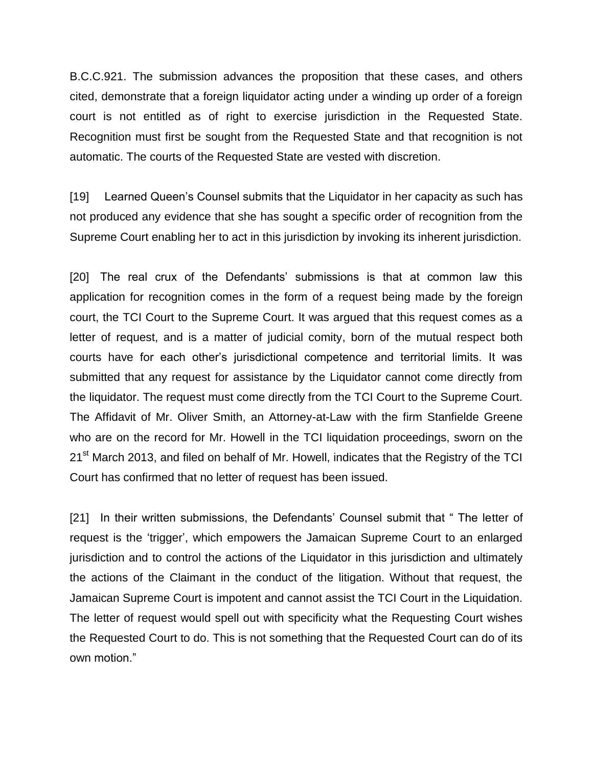B.C.C.921. The submission advances the proposition that these cases, and others cited, demonstrate that a foreign liquidator acting under a winding up order of a foreign court is not entitled as of right to exercise jurisdiction in the Requested State. Recognition must first be sought from the Requested State and that recognition is not automatic. The courts of the Requested State are vested with discretion.

[19] Learned Queen's Counsel submits that the Liquidator in her capacity as such has not produced any evidence that she has sought a specific order of recognition from the Supreme Court enabling her to act in this jurisdiction by invoking its inherent jurisdiction.

[20] The real crux of the Defendants' submissions is that at common law this application for recognition comes in the form of a request being made by the foreign court, the TCI Court to the Supreme Court. It was argued that this request comes as a letter of request, and is a matter of judicial comity, born of the mutual respect both courts have for each other's jurisdictional competence and territorial limits. It was submitted that any request for assistance by the Liquidator cannot come directly from the liquidator. The request must come directly from the TCI Court to the Supreme Court. The Affidavit of Mr. Oliver Smith, an Attorney-at-Law with the firm Stanfielde Greene who are on the record for Mr. Howell in the TCI liquidation proceedings, sworn on the 21<sup>st</sup> March 2013, and filed on behalf of Mr. Howell, indicates that the Registry of the TCI Court has confirmed that no letter of request has been issued.

[21] In their written submissions, the Defendants' Counsel submit that "The letter of request is the 'trigger', which empowers the Jamaican Supreme Court to an enlarged jurisdiction and to control the actions of the Liquidator in this jurisdiction and ultimately the actions of the Claimant in the conduct of the litigation. Without that request, the Jamaican Supreme Court is impotent and cannot assist the TCI Court in the Liquidation. The letter of request would spell out with specificity what the Requesting Court wishes the Requested Court to do. This is not something that the Requested Court can do of its own motion."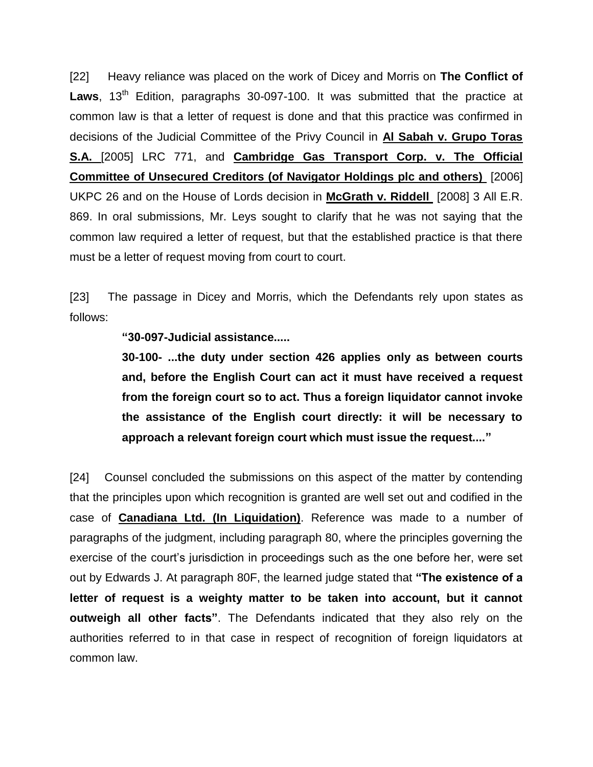[22] Heavy reliance was placed on the work of Dicey and Morris on **The Conflict of**  Laws, 13<sup>th</sup> Edition, paragraphs 30-097-100. It was submitted that the practice at common law is that a letter of request is done and that this practice was confirmed in decisions of the Judicial Committee of the Privy Council in **Al Sabah v. Grupo Toras S.A.** [2005] LRC 771, and **Cambridge Gas Transport Corp. v. The Official Committee of Unsecured Creditors (of Navigator Holdings plc and others)** [2006] UKPC 26 and on the House of Lords decision in **McGrath v. Riddell** [2008] 3 All E.R. 869. In oral submissions, Mr. Leys sought to clarify that he was not saying that the common law required a letter of request, but that the established practice is that there must be a letter of request moving from court to court.

[23] The passage in Dicey and Morris, which the Defendants rely upon states as follows:

#### **"30-097-Judicial assistance.....**

**30-100- ...the duty under section 426 applies only as between courts and, before the English Court can act it must have received a request from the foreign court so to act. Thus a foreign liquidator cannot invoke the assistance of the English court directly: it will be necessary to approach a relevant foreign court which must issue the request...."**

[24] Counsel concluded the submissions on this aspect of the matter by contending that the principles upon which recognition is granted are well set out and codified in the case of **Canadiana Ltd. (In Liquidation)**. Reference was made to a number of paragraphs of the judgment, including paragraph 80, where the principles governing the exercise of the court's jurisdiction in proceedings such as the one before her, were set out by Edwards J. At paragraph 80F, the learned judge stated that **"The existence of a letter of request is a weighty matter to be taken into account, but it cannot outweigh all other facts"**. The Defendants indicated that they also rely on the authorities referred to in that case in respect of recognition of foreign liquidators at common law.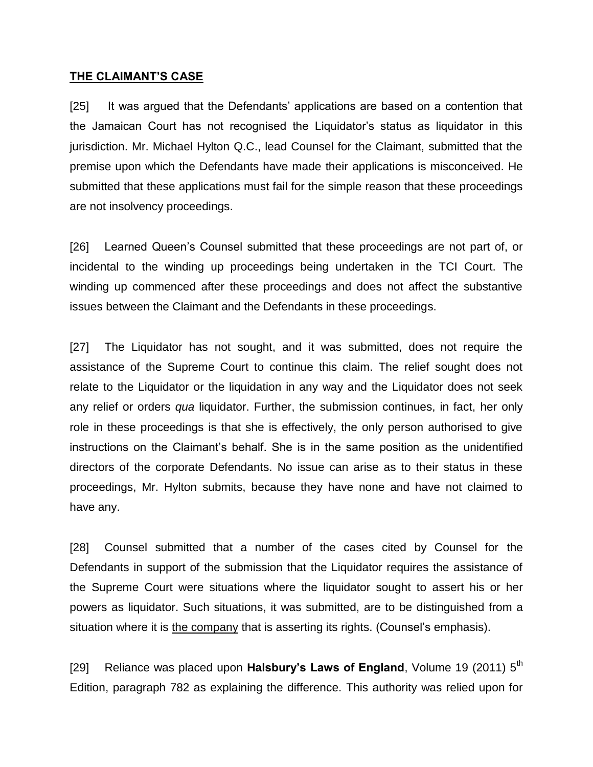#### **THE CLAIMANT'S CASE**

[25] It was argued that the Defendants' applications are based on a contention that the Jamaican Court has not recognised the Liquidator's status as liquidator in this jurisdiction. Mr. Michael Hylton Q.C., lead Counsel for the Claimant, submitted that the premise upon which the Defendants have made their applications is misconceived. He submitted that these applications must fail for the simple reason that these proceedings are not insolvency proceedings.

[26] Learned Queen's Counsel submitted that these proceedings are not part of, or incidental to the winding up proceedings being undertaken in the TCI Court. The winding up commenced after these proceedings and does not affect the substantive issues between the Claimant and the Defendants in these proceedings.

[27] The Liquidator has not sought, and it was submitted, does not require the assistance of the Supreme Court to continue this claim. The relief sought does not relate to the Liquidator or the liquidation in any way and the Liquidator does not seek any relief or orders *qua* liquidator. Further, the submission continues, in fact, her only role in these proceedings is that she is effectively, the only person authorised to give instructions on the Claimant's behalf. She is in the same position as the unidentified directors of the corporate Defendants. No issue can arise as to their status in these proceedings, Mr. Hylton submits, because they have none and have not claimed to have any.

[28] Counsel submitted that a number of the cases cited by Counsel for the Defendants in support of the submission that the Liquidator requires the assistance of the Supreme Court were situations where the liquidator sought to assert his or her powers as liquidator. Such situations, it was submitted, are to be distinguished from a situation where it is the company that is asserting its rights. (Counsel's emphasis).

[29] Reliance was placed upon **Halsbury's Laws of England**, Volume 19 (2011) 5<sup>th</sup> Edition, paragraph 782 as explaining the difference. This authority was relied upon for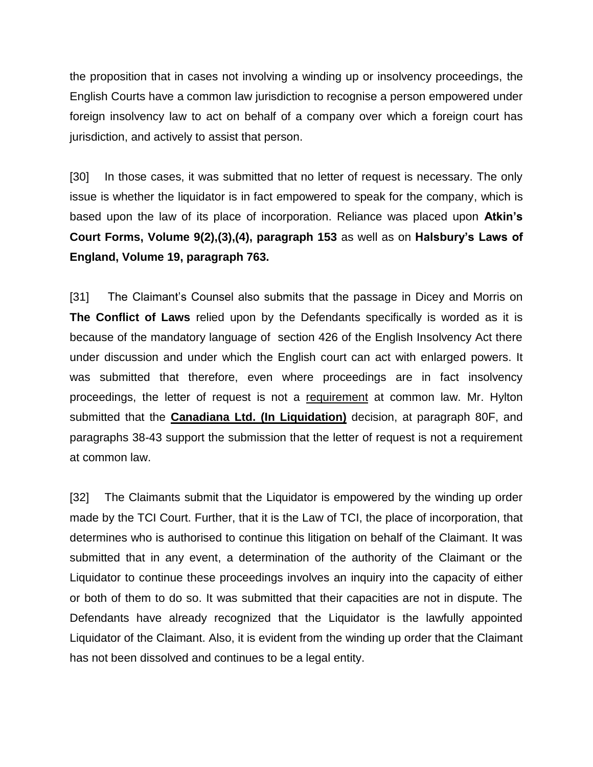the proposition that in cases not involving a winding up or insolvency proceedings, the English Courts have a common law jurisdiction to recognise a person empowered under foreign insolvency law to act on behalf of a company over which a foreign court has jurisdiction, and actively to assist that person.

[30] In those cases, it was submitted that no letter of request is necessary. The only issue is whether the liquidator is in fact empowered to speak for the company, which is based upon the law of its place of incorporation. Reliance was placed upon **Atkin's Court Forms, Volume 9(2),(3),(4), paragraph 153** as well as on **Halsbury's Laws of England, Volume 19, paragraph 763.**

[31] The Claimant's Counsel also submits that the passage in Dicey and Morris on **The Conflict of Laws** relied upon by the Defendants specifically is worded as it is because of the mandatory language of section 426 of the English Insolvency Act there under discussion and under which the English court can act with enlarged powers. It was submitted that therefore, even where proceedings are in fact insolvency proceedings, the letter of request is not a requirement at common law. Mr. Hylton submitted that the **Canadiana Ltd. (In Liquidation)** decision, at paragraph 80F, and paragraphs 38-43 support the submission that the letter of request is not a requirement at common law.

[32] The Claimants submit that the Liquidator is empowered by the winding up order made by the TCI Court. Further, that it is the Law of TCI, the place of incorporation, that determines who is authorised to continue this litigation on behalf of the Claimant. It was submitted that in any event, a determination of the authority of the Claimant or the Liquidator to continue these proceedings involves an inquiry into the capacity of either or both of them to do so. It was submitted that their capacities are not in dispute. The Defendants have already recognized that the Liquidator is the lawfully appointed Liquidator of the Claimant. Also, it is evident from the winding up order that the Claimant has not been dissolved and continues to be a legal entity.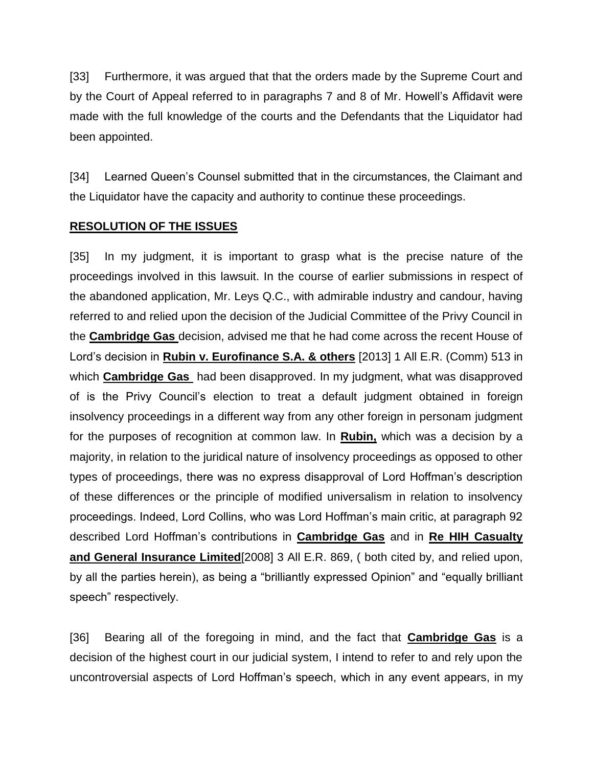[33] Furthermore, it was argued that that the orders made by the Supreme Court and by the Court of Appeal referred to in paragraphs 7 and 8 of Mr. Howell's Affidavit were made with the full knowledge of the courts and the Defendants that the Liquidator had been appointed.

[34] Learned Queen's Counsel submitted that in the circumstances, the Claimant and the Liquidator have the capacity and authority to continue these proceedings.

# **RESOLUTION OF THE ISSUES**

[35] In my judgment, it is important to grasp what is the precise nature of the proceedings involved in this lawsuit. In the course of earlier submissions in respect of the abandoned application, Mr. Leys Q.C., with admirable industry and candour, having referred to and relied upon the decision of the Judicial Committee of the Privy Council in the **Cambridge Gas** decision, advised me that he had come across the recent House of Lord's decision in **Rubin v. Eurofinance S.A. & others** [2013] 1 All E.R. (Comm) 513 in which **Cambridge Gas** had been disapproved. In my judgment, what was disapproved of is the Privy Council's election to treat a default judgment obtained in foreign insolvency proceedings in a different way from any other foreign in personam judgment for the purposes of recognition at common law. In **Rubin,** which was a decision by a majority, in relation to the juridical nature of insolvency proceedings as opposed to other types of proceedings, there was no express disapproval of Lord Hoffman's description of these differences or the principle of modified universalism in relation to insolvency proceedings. Indeed, Lord Collins, who was Lord Hoffman's main critic, at paragraph 92 described Lord Hoffman's contributions in **Cambridge Gas** and in **Re HIH Casualty and General Insurance Limited**[2008] 3 All E.R. 869, ( both cited by, and relied upon, by all the parties herein), as being a "brilliantly expressed Opinion" and "equally brilliant speech" respectively.

[36] Bearing all of the foregoing in mind, and the fact that **Cambridge Gas** is a decision of the highest court in our judicial system, I intend to refer to and rely upon the uncontroversial aspects of Lord Hoffman's speech, which in any event appears, in my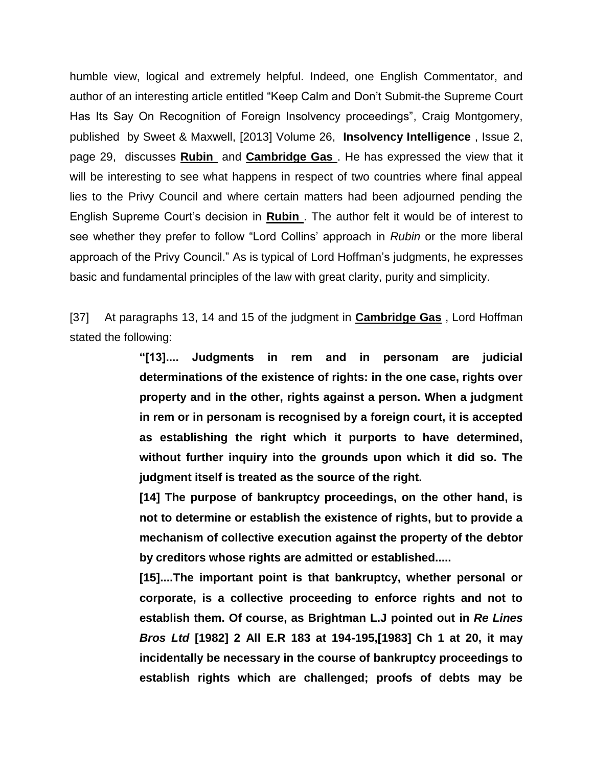humble view, logical and extremely helpful. Indeed, one English Commentator, and author of an interesting article entitled "Keep Calm and Don't Submit-the Supreme Court Has Its Say On Recognition of Foreign Insolvency proceedings", Craig Montgomery, published by Sweet & Maxwell, [2013] Volume 26, **Insolvency Intelligence** , Issue 2, page 29, discusses **Rubin** and **Cambridge Gas** . He has expressed the view that it will be interesting to see what happens in respect of two countries where final appeal lies to the Privy Council and where certain matters had been adjourned pending the English Supreme Court's decision in **Rubin** . The author felt it would be of interest to see whether they prefer to follow "Lord Collins' approach in *Rubin* or the more liberal approach of the Privy Council." As is typical of Lord Hoffman's judgments, he expresses basic and fundamental principles of the law with great clarity, purity and simplicity.

[37] At paragraphs 13, 14 and 15 of the judgment in **Cambridge Gas** , Lord Hoffman stated the following:

> **"[13].... Judgments in rem and in personam are judicial determinations of the existence of rights: in the one case, rights over property and in the other, rights against a person. When a judgment in rem or in personam is recognised by a foreign court, it is accepted as establishing the right which it purports to have determined, without further inquiry into the grounds upon which it did so. The judgment itself is treated as the source of the right.**

> **[14] The purpose of bankruptcy proceedings, on the other hand, is not to determine or establish the existence of rights, but to provide a mechanism of collective execution against the property of the debtor by creditors whose rights are admitted or established.....**

> **[15]....The important point is that bankruptcy, whether personal or corporate, is a collective proceeding to enforce rights and not to establish them. Of course, as Brightman L.J pointed out in** *Re Lines Bros Ltd* **[1982] 2 All E.R 183 at 194-195,[1983] Ch 1 at 20, it may incidentally be necessary in the course of bankruptcy proceedings to establish rights which are challenged; proofs of debts may be**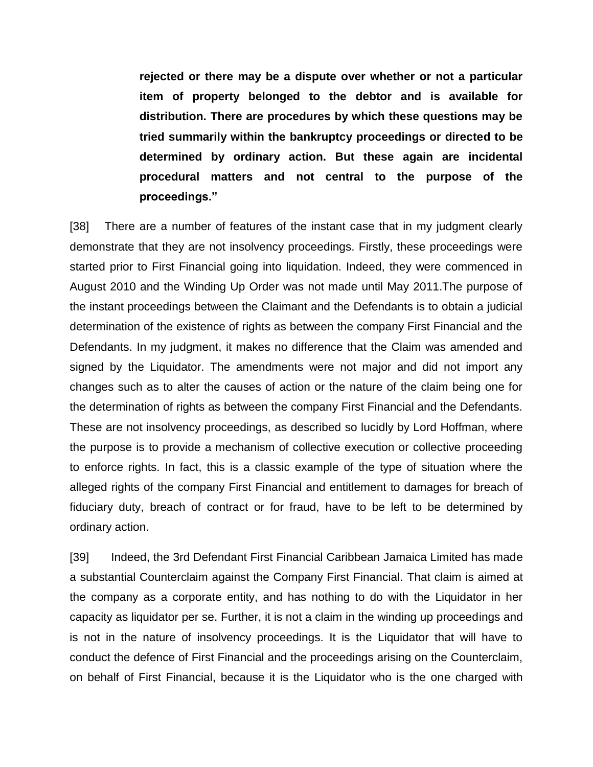**rejected or there may be a dispute over whether or not a particular item of property belonged to the debtor and is available for distribution. There are procedures by which these questions may be tried summarily within the bankruptcy proceedings or directed to be determined by ordinary action. But these again are incidental procedural matters and not central to the purpose of the proceedings."** 

[38] There are a number of features of the instant case that in my judgment clearly demonstrate that they are not insolvency proceedings. Firstly, these proceedings were started prior to First Financial going into liquidation. Indeed, they were commenced in August 2010 and the Winding Up Order was not made until May 2011.The purpose of the instant proceedings between the Claimant and the Defendants is to obtain a judicial determination of the existence of rights as between the company First Financial and the Defendants. In my judgment, it makes no difference that the Claim was amended and signed by the Liquidator. The amendments were not major and did not import any changes such as to alter the causes of action or the nature of the claim being one for the determination of rights as between the company First Financial and the Defendants. These are not insolvency proceedings, as described so lucidly by Lord Hoffman, where the purpose is to provide a mechanism of collective execution or collective proceeding to enforce rights. In fact, this is a classic example of the type of situation where the alleged rights of the company First Financial and entitlement to damages for breach of fiduciary duty, breach of contract or for fraud, have to be left to be determined by ordinary action.

[39] Indeed, the 3rd Defendant First Financial Caribbean Jamaica Limited has made a substantial Counterclaim against the Company First Financial. That claim is aimed at the company as a corporate entity, and has nothing to do with the Liquidator in her capacity as liquidator per se. Further, it is not a claim in the winding up proceedings and is not in the nature of insolvency proceedings. It is the Liquidator that will have to conduct the defence of First Financial and the proceedings arising on the Counterclaim, on behalf of First Financial, because it is the Liquidator who is the one charged with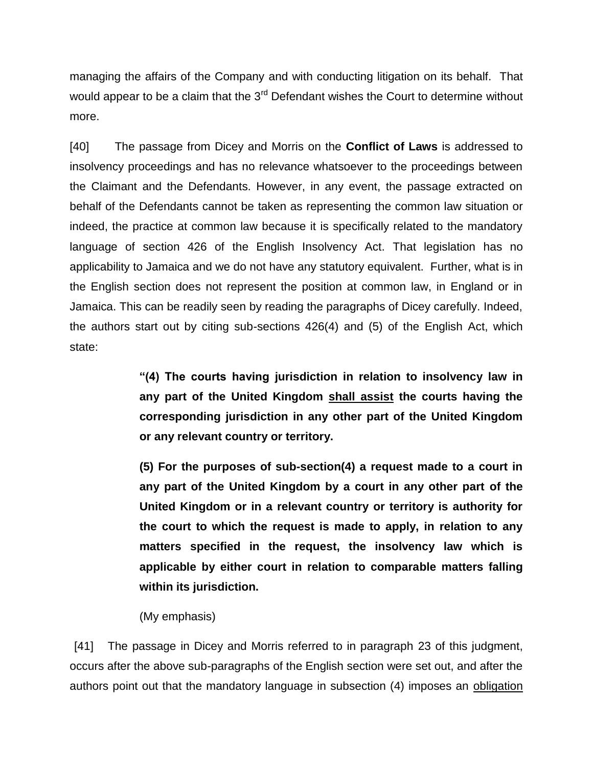managing the affairs of the Company and with conducting litigation on its behalf. That would appear to be a claim that the 3<sup>rd</sup> Defendant wishes the Court to determine without more.

[40] The passage from Dicey and Morris on the **Conflict of Laws** is addressed to insolvency proceedings and has no relevance whatsoever to the proceedings between the Claimant and the Defendants. However, in any event, the passage extracted on behalf of the Defendants cannot be taken as representing the common law situation or indeed, the practice at common law because it is specifically related to the mandatory language of section 426 of the English Insolvency Act. That legislation has no applicability to Jamaica and we do not have any statutory equivalent. Further, what is in the English section does not represent the position at common law, in England or in Jamaica. This can be readily seen by reading the paragraphs of Dicey carefully. Indeed, the authors start out by citing sub-sections 426(4) and (5) of the English Act, which state:

> **"(4) The courts having jurisdiction in relation to insolvency law in any part of the United Kingdom shall assist the courts having the corresponding jurisdiction in any other part of the United Kingdom or any relevant country or territory.**

> **(5) For the purposes of sub-section(4) a request made to a court in any part of the United Kingdom by a court in any other part of the United Kingdom or in a relevant country or territory is authority for the court to which the request is made to apply, in relation to any matters specified in the request, the insolvency law which is applicable by either court in relation to comparable matters falling within its jurisdiction.**

(My emphasis)

[41] The passage in Dicey and Morris referred to in paragraph 23 of this judgment, occurs after the above sub-paragraphs of the English section were set out, and after the authors point out that the mandatory language in subsection (4) imposes an obligation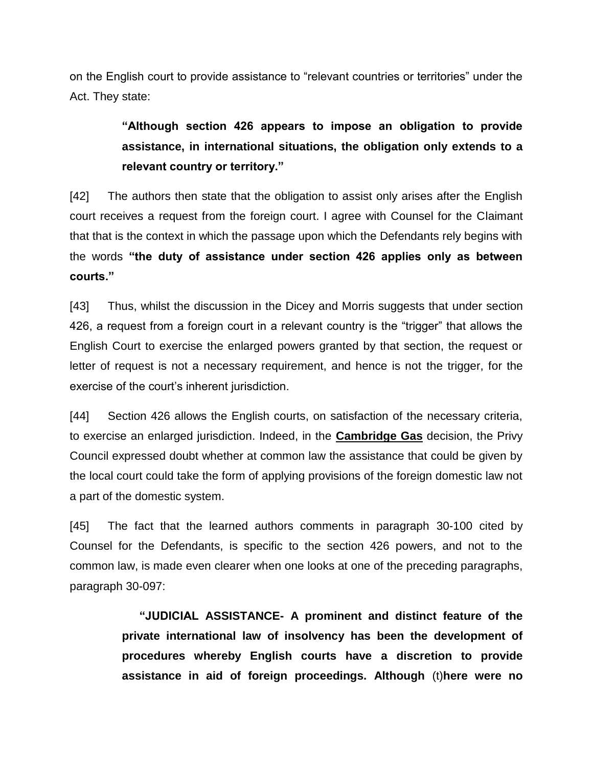on the English court to provide assistance to "relevant countries or territories" under the Act. They state:

> **"Although section 426 appears to impose an obligation to provide assistance, in international situations, the obligation only extends to a relevant country or territory."**

[42] The authors then state that the obligation to assist only arises after the English court receives a request from the foreign court. I agree with Counsel for the Claimant that that is the context in which the passage upon which the Defendants rely begins with the words **"the duty of assistance under section 426 applies only as between courts."**

[43] Thus, whilst the discussion in the Dicey and Morris suggests that under section 426, a request from a foreign court in a relevant country is the "trigger" that allows the English Court to exercise the enlarged powers granted by that section, the request or letter of request is not a necessary requirement, and hence is not the trigger, for the exercise of the court's inherent jurisdiction.

[44] Section 426 allows the English courts, on satisfaction of the necessary criteria, to exercise an enlarged jurisdiction. Indeed, in the **Cambridge Gas** decision, the Privy Council expressed doubt whether at common law the assistance that could be given by the local court could take the form of applying provisions of the foreign domestic law not a part of the domestic system.

[45] The fact that the learned authors comments in paragraph 30-100 cited by Counsel for the Defendants, is specific to the section 426 powers, and not to the common law, is made even clearer when one looks at one of the preceding paragraphs, paragraph 30-097:

> **"JUDICIAL ASSISTANCE- A prominent and distinct feature of the private international law of insolvency has been the development of procedures whereby English courts have a discretion to provide assistance in aid of foreign proceedings. Although** (t)**here were no**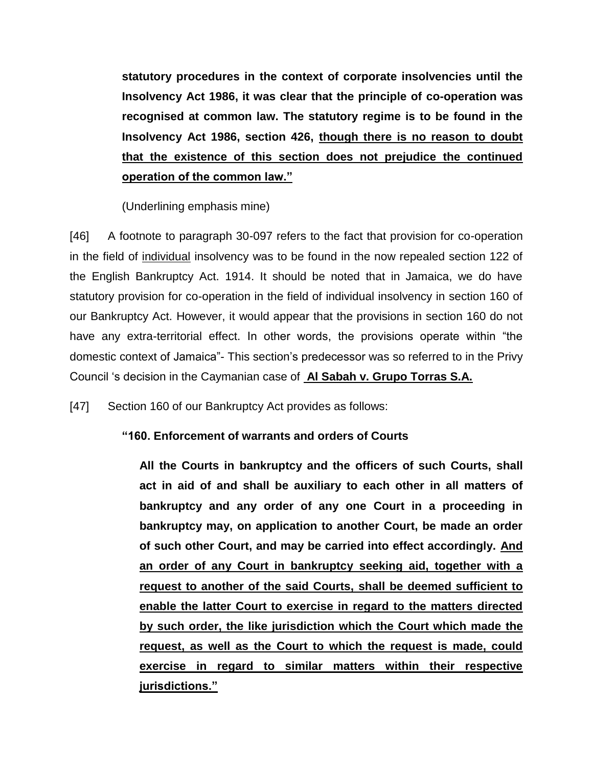**statutory procedures in the context of corporate insolvencies until the Insolvency Act 1986, it was clear that the principle of co-operation was recognised at common law. The statutory regime is to be found in the Insolvency Act 1986, section 426, though there is no reason to doubt that the existence of this section does not prejudice the continued operation of the common law."**

(Underlining emphasis mine)

[46] A footnote to paragraph 30-097 refers to the fact that provision for co-operation in the field of individual insolvency was to be found in the now repealed section 122 of the English Bankruptcy Act. 1914. It should be noted that in Jamaica, we do have statutory provision for co-operation in the field of individual insolvency in section 160 of our Bankruptcy Act. However, it would appear that the provisions in section 160 do not have any extra-territorial effect. In other words, the provisions operate within "the domestic context of Jamaica"- This section's predecessor was so referred to in the Privy Council 's decision in the Caymanian case of **Al Sabah v. Grupo Torras S.A.**

[47] Section 160 of our Bankruptcy Act provides as follows:

# **"160. Enforcement of warrants and orders of Courts**

**All the Courts in bankruptcy and the officers of such Courts, shall act in aid of and shall be auxiliary to each other in all matters of bankruptcy and any order of any one Court in a proceeding in bankruptcy may, on application to another Court, be made an order of such other Court, and may be carried into effect accordingly. And an order of any Court in bankruptcy seeking aid, together with a request to another of the said Courts, shall be deemed sufficient to enable the latter Court to exercise in regard to the matters directed by such order, the like jurisdiction which the Court which made the request, as well as the Court to which the request is made, could exercise in regard to similar matters within their respective jurisdictions."**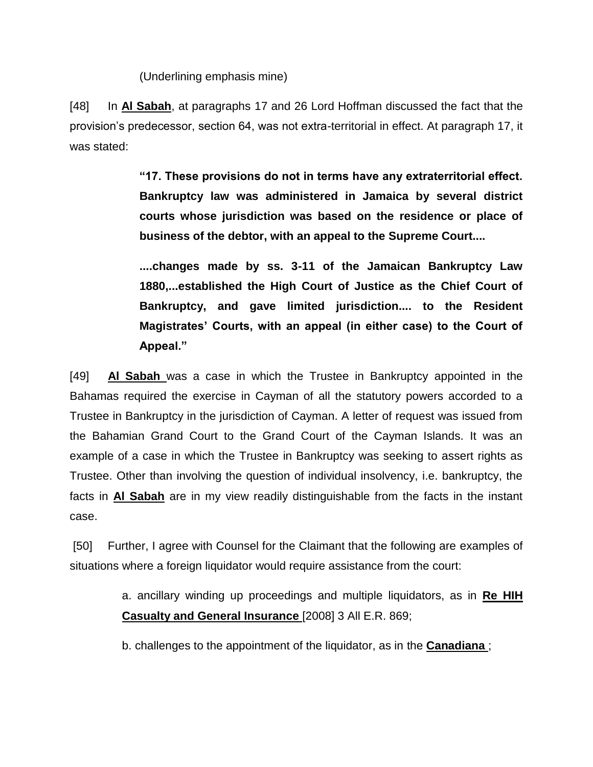(Underlining emphasis mine)

[48] In **Al Sabah**, at paragraphs 17 and 26 Lord Hoffman discussed the fact that the provision's predecessor, section 64, was not extra-territorial in effect. At paragraph 17, it was stated:

> **"17. These provisions do not in terms have any extraterritorial effect. Bankruptcy law was administered in Jamaica by several district courts whose jurisdiction was based on the residence or place of business of the debtor, with an appeal to the Supreme Court....**

> **....changes made by ss. 3-11 of the Jamaican Bankruptcy Law 1880,...established the High Court of Justice as the Chief Court of Bankruptcy, and gave limited jurisdiction.... to the Resident Magistrates' Courts, with an appeal (in either case) to the Court of Appeal."**

[49] **Al Sabah** was a case in which the Trustee in Bankruptcy appointed in the Bahamas required the exercise in Cayman of all the statutory powers accorded to a Trustee in Bankruptcy in the jurisdiction of Cayman. A letter of request was issued from the Bahamian Grand Court to the Grand Court of the Cayman Islands. It was an example of a case in which the Trustee in Bankruptcy was seeking to assert rights as Trustee. Other than involving the question of individual insolvency, i.e. bankruptcy, the facts in **Al Sabah** are in my view readily distinguishable from the facts in the instant case.

[50] Further, I agree with Counsel for the Claimant that the following are examples of situations where a foreign liquidator would require assistance from the court:

> a. ancillary winding up proceedings and multiple liquidators, as in **Re HIH Casualty and General Insurance** [2008] 3 All E.R. 869;

b. challenges to the appointment of the liquidator, as in the **Canadiana** ;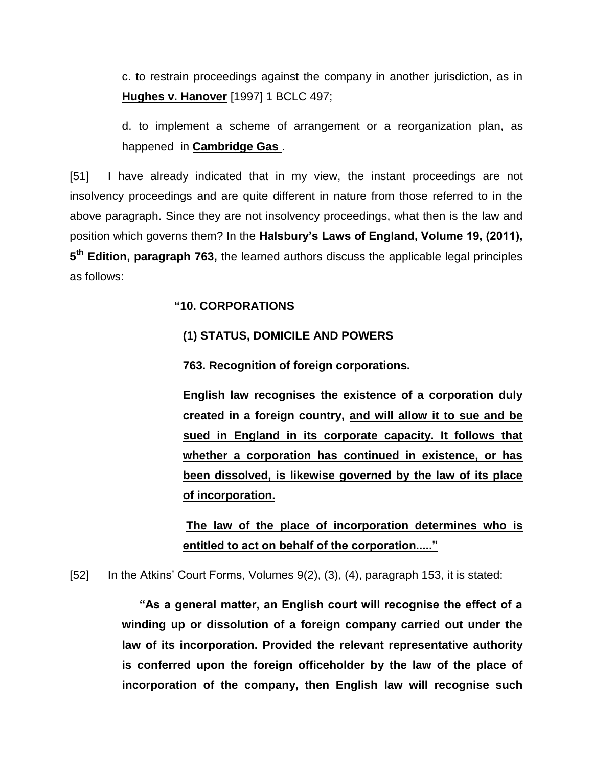c. to restrain proceedings against the company in another jurisdiction, as in **Hughes v. Hanover** [1997] 1 BCLC 497;

d. to implement a scheme of arrangement or a reorganization plan, as happened in **Cambridge Gas** .

[51] I have already indicated that in my view, the instant proceedings are not insolvency proceedings and are quite different in nature from those referred to in the above paragraph. Since they are not insolvency proceedings, what then is the law and position which governs them? In the **Halsbury's Laws of England, Volume 19, (2011), 5 th Edition, paragraph 763,** the learned authors discuss the applicable legal principles as follows:

# **"10. CORPORATIONS**

# **(1) STATUS, DOMICILE AND POWERS**

**763. Recognition of foreign corporations.**

**English law recognises the existence of a corporation duly created in a foreign country, and will allow it to sue and be sued in England in its corporate capacity. It follows that whether a corporation has continued in existence, or has been dissolved, is likewise governed by the law of its place of incorporation.**

**The law of the place of incorporation determines who is entitled to act on behalf of the corporation....."**

[52] In the Atkins' Court Forms, Volumes 9(2), (3), (4), paragraph 153, it is stated:

**"As a general matter, an English court will recognise the effect of a winding up or dissolution of a foreign company carried out under the law of its incorporation. Provided the relevant representative authority is conferred upon the foreign officeholder by the law of the place of incorporation of the company, then English law will recognise such**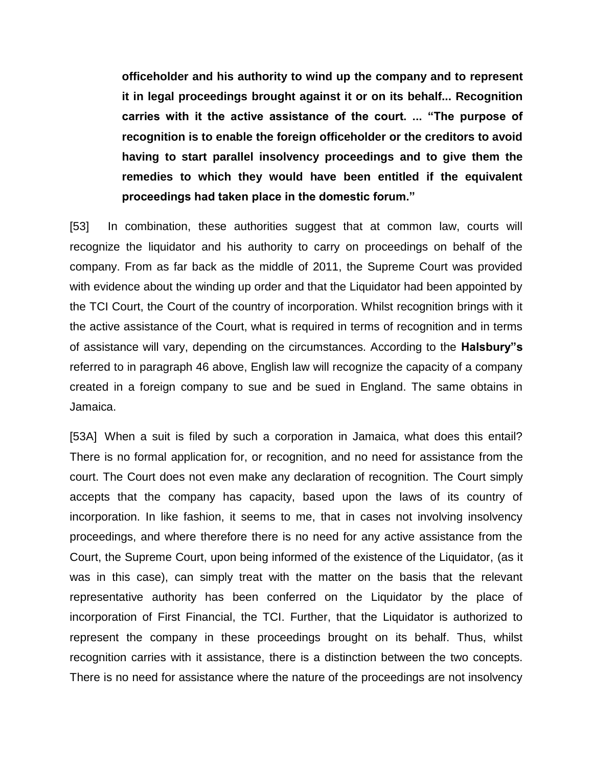**officeholder and his authority to wind up the company and to represent it in legal proceedings brought against it or on its behalf... Recognition carries with it the active assistance of the court. ... "The purpose of recognition is to enable the foreign officeholder or the creditors to avoid having to start parallel insolvency proceedings and to give them the remedies to which they would have been entitled if the equivalent proceedings had taken place in the domestic forum."** 

[53] In combination, these authorities suggest that at common law, courts will recognize the liquidator and his authority to carry on proceedings on behalf of the company. From as far back as the middle of 2011, the Supreme Court was provided with evidence about the winding up order and that the Liquidator had been appointed by the TCI Court, the Court of the country of incorporation. Whilst recognition brings with it the active assistance of the Court, what is required in terms of recognition and in terms of assistance will vary, depending on the circumstances. According to the **Halsbury"s**  referred to in paragraph 46 above, English law will recognize the capacity of a company created in a foreign company to sue and be sued in England. The same obtains in Jamaica.

[53A] When a suit is filed by such a corporation in Jamaica, what does this entail? There is no formal application for, or recognition, and no need for assistance from the court. The Court does not even make any declaration of recognition. The Court simply accepts that the company has capacity, based upon the laws of its country of incorporation. In like fashion, it seems to me, that in cases not involving insolvency proceedings, and where therefore there is no need for any active assistance from the Court, the Supreme Court, upon being informed of the existence of the Liquidator, (as it was in this case), can simply treat with the matter on the basis that the relevant representative authority has been conferred on the Liquidator by the place of incorporation of First Financial, the TCI. Further, that the Liquidator is authorized to represent the company in these proceedings brought on its behalf. Thus, whilst recognition carries with it assistance, there is a distinction between the two concepts. There is no need for assistance where the nature of the proceedings are not insolvency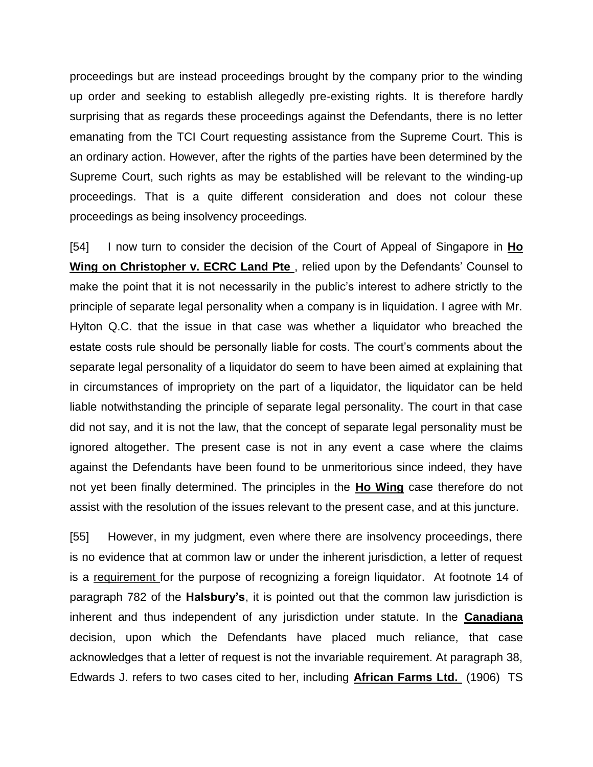proceedings but are instead proceedings brought by the company prior to the winding up order and seeking to establish allegedly pre-existing rights. It is therefore hardly surprising that as regards these proceedings against the Defendants, there is no letter emanating from the TCI Court requesting assistance from the Supreme Court. This is an ordinary action. However, after the rights of the parties have been determined by the Supreme Court, such rights as may be established will be relevant to the winding-up proceedings. That is a quite different consideration and does not colour these proceedings as being insolvency proceedings.

[54] I now turn to consider the decision of the Court of Appeal of Singapore in **Ho Wing on Christopher v. ECRC Land Pte** , relied upon by the Defendants' Counsel to make the point that it is not necessarily in the public's interest to adhere strictly to the principle of separate legal personality when a company is in liquidation. I agree with Mr. Hylton Q.C. that the issue in that case was whether a liquidator who breached the estate costs rule should be personally liable for costs. The court's comments about the separate legal personality of a liquidator do seem to have been aimed at explaining that in circumstances of impropriety on the part of a liquidator, the liquidator can be held liable notwithstanding the principle of separate legal personality. The court in that case did not say, and it is not the law, that the concept of separate legal personality must be ignored altogether. The present case is not in any event a case where the claims against the Defendants have been found to be unmeritorious since indeed, they have not yet been finally determined. The principles in the **Ho Wing** case therefore do not assist with the resolution of the issues relevant to the present case, and at this juncture.

[55] However, in my judgment, even where there are insolvency proceedings, there is no evidence that at common law or under the inherent jurisdiction, a letter of request is a requirement for the purpose of recognizing a foreign liquidator. At footnote 14 of paragraph 782 of the **Halsbury's**, it is pointed out that the common law jurisdiction is inherent and thus independent of any jurisdiction under statute. In the **Canadiana** decision, upon which the Defendants have placed much reliance, that case acknowledges that a letter of request is not the invariable requirement. At paragraph 38, Edwards J. refers to two cases cited to her, including **African Farms Ltd.** (1906) TS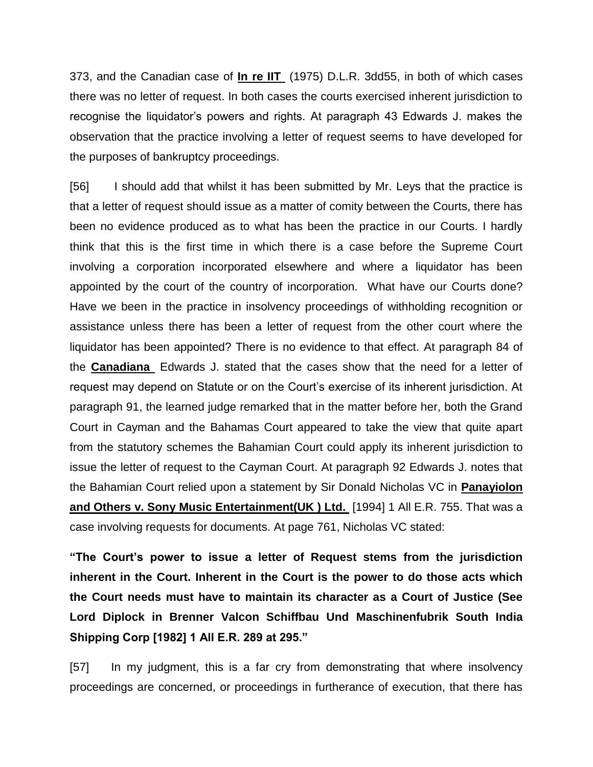373, and the Canadian case of **In re IIT** (1975) D.L.R. 3dd55, in both of which cases there was no letter of request. In both cases the courts exercised inherent jurisdiction to recognise the liquidator's powers and rights. At paragraph 43 Edwards J. makes the observation that the practice involving a letter of request seems to have developed for the purposes of bankruptcy proceedings.

[56] I should add that whilst it has been submitted by Mr. Leys that the practice is that a letter of request should issue as a matter of comity between the Courts, there has been no evidence produced as to what has been the practice in our Courts. I hardly think that this is the first time in which there is a case before the Supreme Court involving a corporation incorporated elsewhere and where a liquidator has been appointed by the court of the country of incorporation. What have our Courts done? Have we been in the practice in insolvency proceedings of withholding recognition or assistance unless there has been a letter of request from the other court where the liquidator has been appointed? There is no evidence to that effect. At paragraph 84 of the **Canadiana** Edwards J. stated that the cases show that the need for a letter of request may depend on Statute or on the Court's exercise of its inherent jurisdiction. At paragraph 91, the learned judge remarked that in the matter before her, both the Grand Court in Cayman and the Bahamas Court appeared to take the view that quite apart from the statutory schemes the Bahamian Court could apply its inherent jurisdiction to issue the letter of request to the Cayman Court. At paragraph 92 Edwards J. notes that the Bahamian Court relied upon a statement by Sir Donald Nicholas VC in **Panayiolon and Others v. Sony Music Entertainment(UK ) Ltd.** [1994] 1 All E.R. 755. That was a case involving requests for documents. At page 761, Nicholas VC stated:

**"The Court's power to issue a letter of Request stems from the jurisdiction inherent in the Court. Inherent in the Court is the power to do those acts which the Court needs must have to maintain its character as a Court of Justice (See Lord Diplock in Brenner Valcon Schiffbau Und Maschinenfubrik South India Shipping Corp [1982] 1 All E.R. 289 at 295."**

[57] In my judgment, this is a far cry from demonstrating that where insolvency proceedings are concerned, or proceedings in furtherance of execution, that there has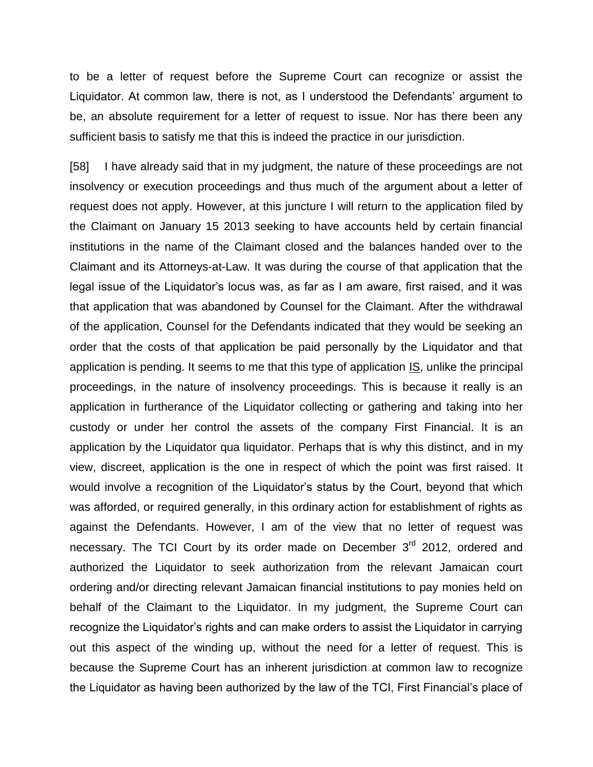to be a letter of request before the Supreme Court can recognize or assist the Liquidator. At common law, there is not, as I understood the Defendants' argument to be, an absolute requirement for a letter of request to issue. Nor has there been any sufficient basis to satisfy me that this is indeed the practice in our jurisdiction.

[58] I have already said that in my judgment, the nature of these proceedings are not insolvency or execution proceedings and thus much of the argument about a letter of request does not apply. However, at this juncture I will return to the application filed by the Claimant on January 15 2013 seeking to have accounts held by certain financial institutions in the name of the Claimant closed and the balances handed over to the Claimant and its Attorneys-at-Law. It was during the course of that application that the legal issue of the Liquidator's locus was, as far as I am aware, first raised, and it was that application that was abandoned by Counsel for the Claimant. After the withdrawal of the application, Counsel for the Defendants indicated that they would be seeking an order that the costs of that application be paid personally by the Liquidator and that application is pending. It seems to me that this type of application IS, unlike the principal proceedings, in the nature of insolvency proceedings. This is because it really is an application in furtherance of the Liquidator collecting or gathering and taking into her custody or under her control the assets of the company First Financial. It is an application by the Liquidator qua liquidator. Perhaps that is why this distinct, and in my view, discreet, application is the one in respect of which the point was first raised. It would involve a recognition of the Liquidator's status by the Court, beyond that which was afforded, or required generally, in this ordinary action for establishment of rights as against the Defendants. However, I am of the view that no letter of request was necessary. The TCI Court by its order made on December 3<sup>rd</sup> 2012, ordered and authorized the Liquidator to seek authorization from the relevant Jamaican court ordering and/or directing relevant Jamaican financial institutions to pay monies held on behalf of the Claimant to the Liquidator. In my judgment, the Supreme Court can recognize the Liquidator's rights and can make orders to assist the Liquidator in carrying out this aspect of the winding up, without the need for a letter of request. This is because the Supreme Court has an inherent jurisdiction at common law to recognize the Liquidator as having been authorized by the law of the TCI, First Financial's place of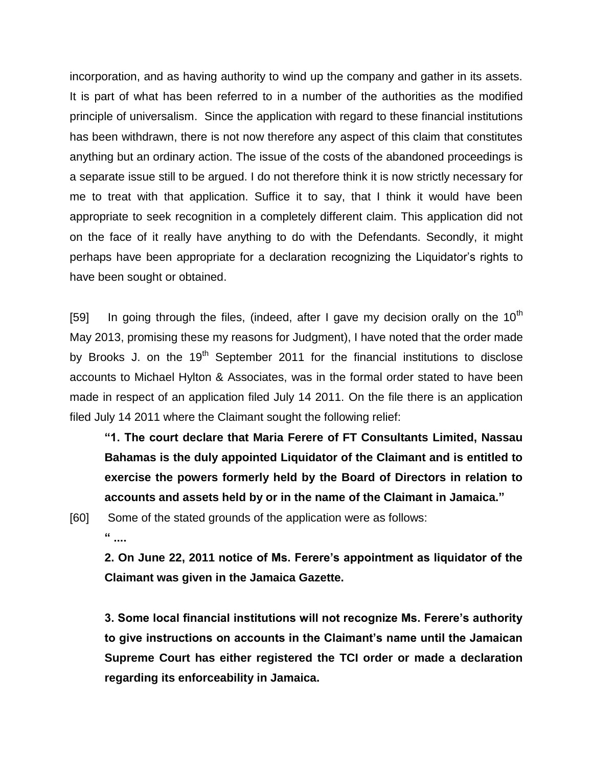incorporation, and as having authority to wind up the company and gather in its assets. It is part of what has been referred to in a number of the authorities as the modified principle of universalism. Since the application with regard to these financial institutions has been withdrawn, there is not now therefore any aspect of this claim that constitutes anything but an ordinary action. The issue of the costs of the abandoned proceedings is a separate issue still to be argued. I do not therefore think it is now strictly necessary for me to treat with that application. Suffice it to say, that I think it would have been appropriate to seek recognition in a completely different claim. This application did not on the face of it really have anything to do with the Defendants. Secondly, it might perhaps have been appropriate for a declaration recognizing the Liquidator's rights to have been sought or obtained.

[59] In going through the files, (indeed, after I gave my decision orally on the 10<sup>th</sup> May 2013, promising these my reasons for Judgment), I have noted that the order made by Brooks J. on the  $19<sup>th</sup>$  September 2011 for the financial institutions to disclose accounts to Michael Hylton & Associates, was in the formal order stated to have been made in respect of an application filed July 14 2011. On the file there is an application filed July 14 2011 where the Claimant sought the following relief:

**"1. The court declare that Maria Ferere of FT Consultants Limited, Nassau Bahamas is the duly appointed Liquidator of the Claimant and is entitled to exercise the powers formerly held by the Board of Directors in relation to accounts and assets held by or in the name of the Claimant in Jamaica."**

[60] Some of the stated grounds of the application were as follows: **" ....**

**2. On June 22, 2011 notice of Ms. Ferere's appointment as liquidator of the Claimant was given in the Jamaica Gazette.** 

**3. Some local financial institutions will not recognize Ms. Ferere's authority to give instructions on accounts in the Claimant's name until the Jamaican Supreme Court has either registered the TCI order or made a declaration regarding its enforceability in Jamaica.**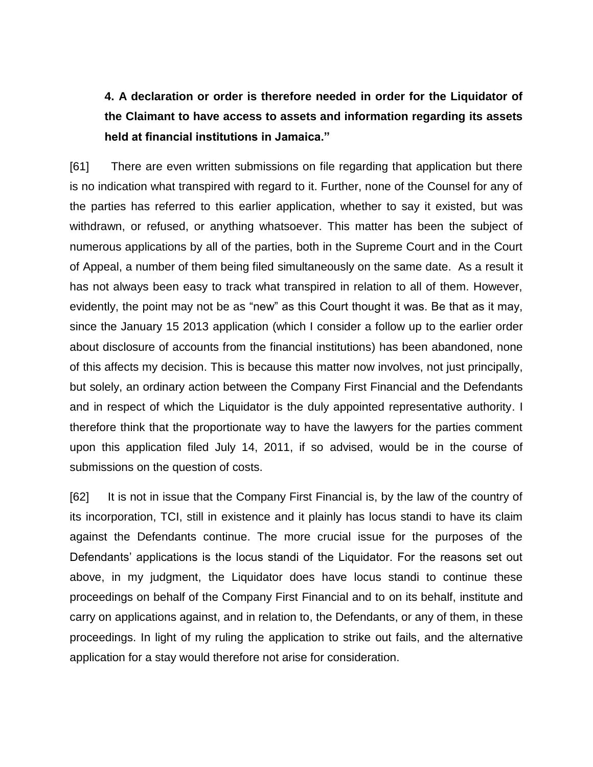# **4. A declaration or order is therefore needed in order for the Liquidator of the Claimant to have access to assets and information regarding its assets held at financial institutions in Jamaica."**

[61] There are even written submissions on file regarding that application but there is no indication what transpired with regard to it. Further, none of the Counsel for any of the parties has referred to this earlier application, whether to say it existed, but was withdrawn, or refused, or anything whatsoever. This matter has been the subject of numerous applications by all of the parties, both in the Supreme Court and in the Court of Appeal, a number of them being filed simultaneously on the same date. As a result it has not always been easy to track what transpired in relation to all of them. However, evidently, the point may not be as "new" as this Court thought it was. Be that as it may, since the January 15 2013 application (which I consider a follow up to the earlier order about disclosure of accounts from the financial institutions) has been abandoned, none of this affects my decision. This is because this matter now involves, not just principally, but solely, an ordinary action between the Company First Financial and the Defendants and in respect of which the Liquidator is the duly appointed representative authority. I therefore think that the proportionate way to have the lawyers for the parties comment upon this application filed July 14, 2011, if so advised, would be in the course of submissions on the question of costs.

[62] It is not in issue that the Company First Financial is, by the law of the country of its incorporation, TCI, still in existence and it plainly has locus standi to have its claim against the Defendants continue. The more crucial issue for the purposes of the Defendants' applications is the locus standi of the Liquidator. For the reasons set out above, in my judgment, the Liquidator does have locus standi to continue these proceedings on behalf of the Company First Financial and to on its behalf, institute and carry on applications against, and in relation to, the Defendants, or any of them, in these proceedings. In light of my ruling the application to strike out fails, and the alternative application for a stay would therefore not arise for consideration.